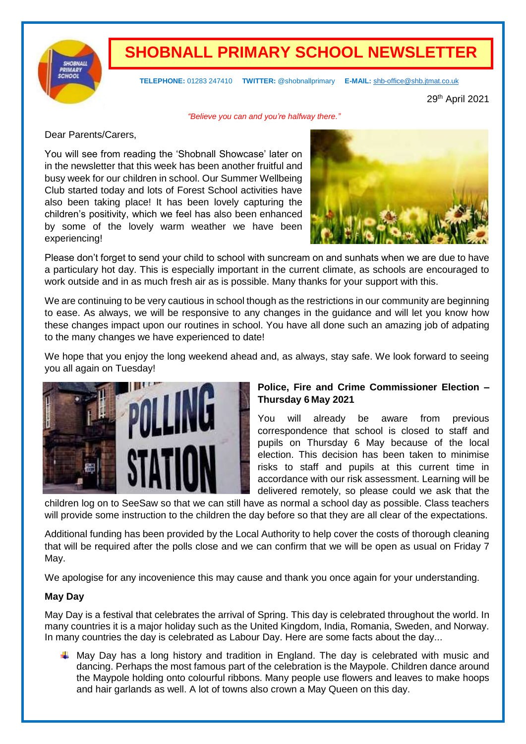

## **SHOBNALL PRIMARY SCHOOL NEWSLETTER**

 **TELEPHONE:** 01283 247410 **TWITTER:** @shobnallprimary **E-MAIL:** [shb-office@shb.jtmat.co.uk](mailto:shb-office@shb.jtmat.co.uk)

29th April 2021

*"Believe you can and you're halfway there."*

Dear Parents/Carers,

You will see from reading the 'Shobnall Showcase' later on in the newsletter that this week has been another fruitful and busy week for our children in school. Our Summer Wellbeing Club started today and lots of Forest School activities have also been taking place! It has been lovely capturing the children's positivity, which we feel has also been enhanced by some of the lovely warm weather we have been experiencing!



Please don't forget to send your child to school with suncream on and sunhats when we are due to have a particulary hot day. This is especially important in the current climate, as schools are encouraged to work outside and in as much fresh air as is possible. Many thanks for your support with this.

We are continuing to be very cautious in school though as the restrictions in our community are beginning to ease. As always, we will be responsive to any changes in the guidance and will let you know how these changes impact upon our routines in school. You have all done such an amazing job of adpating to the many changes we have experienced to date!

We hope that you enjoy the long weekend ahead and, as always, stay safe. We look forward to seeing you all again on Tuesday!



### **Police, Fire and Crime Commissioner Election – Thursday 6 May 2021**

You will already be aware from previous correspondence that school is closed to staff and pupils on Thursday 6 May because of the local election. This decision has been taken to minimise risks to staff and pupils at this current time in accordance with our risk assessment. Learning will be delivered remotely, so please could we ask that the

children log on to SeeSaw so that we can still have as normal a school day as possible. Class teachers will provide some instruction to the children the day before so that they are all clear of the expectations.

Additional funding has been provided by the Local Authority to help cover the costs of thorough cleaning that will be required after the polls close and we can confirm that we will be open as usual on Friday 7 May.

We apologise for any incovenience this may cause and thank you once again for your understanding.

### **May Day**

May Day is a festival that celebrates the arrival of Spring. This day is celebrated throughout the world. In many countries it is a major holiday such as the United Kingdom, India, Romania, Sweden, and Norway. In many countries the day is celebrated as Labour Day. Here are some facts about the day...

May Day has a long history and tradition in England. The day is celebrated with music and and the dancing. Perhaps the most famous part of the celebration is the Maypole. Children dance around the Maypole holding onto colourful ribbons. Many people use flowers and leaves to make hoops and hair garlands as well. A lot of towns also crown a May Queen on this day.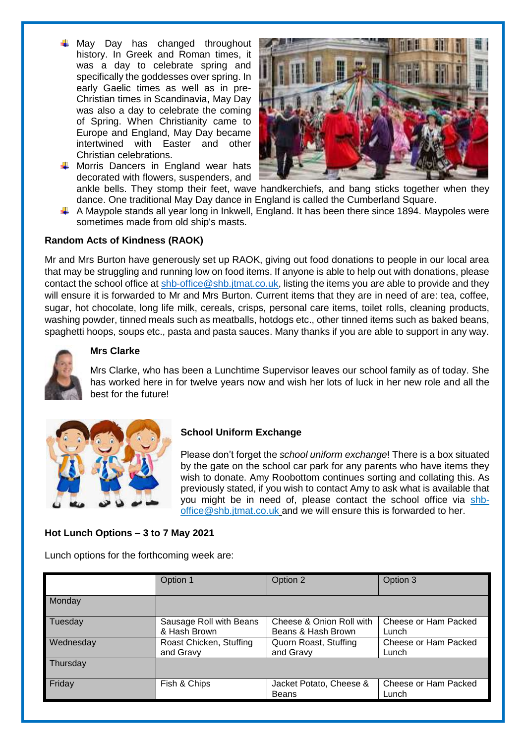- $\downarrow$  May Day has changed throughout history. In Greek and Roman times, it was a day to celebrate spring and specifically the goddesses over spring. In early Gaelic times as well as in pre-Christian times in Scandinavia, May Day was also a day to celebrate the coming of Spring. When Christianity came to Europe and England, May Day became intertwined with Easter and other Christian celebrations.
- $\overline{\phantom{a} \bullet}$  Morris Dancers in England wear hats decorated with flowers, suspenders, and



ankle bells. They stomp their feet, wave handkerchiefs, and bang sticks together when they dance. One traditional May Day dance in England is called the Cumberland Square.

 $\ddot{+}$  A Maypole stands all year long in Inkwell, England. It has been there since 1894. Maypoles were sometimes made from old ship's masts.

#### **Random Acts of Kindness (RAOK)**

Mr and Mrs Burton have generously set up RAOK, giving out food donations to people in our local area that may be struggling and running low on food items. If anyone is able to help out with donations, please contact the school office at [shb-office@shb.jtmat.co.uk,](mailto:shb-office@shb.jtmat.co.uk) listing the items you are able to provide and they will ensure it is forwarded to Mr and Mrs Burton. Current items that they are in need of are: tea, coffee, sugar, hot chocolate, long life milk, cereals, crisps, personal care items, toilet rolls, cleaning products, washing powder, tinned meals such as meatballs, hotdogs etc., other tinned items such as baked beans, spaghetti hoops, soups etc., pasta and pasta sauces. Many thanks if you are able to support in any way.



#### **Mrs Clarke**

Mrs Clarke, who has been a Lunchtime Supervisor leaves our school family as of today. She has worked here in for twelve years now and wish her lots of luck in her new role and all the best for the future!



#### **School Uniform Exchange**

Please don't forget the *school uniform exchange*! There is a box situated by the gate on the school car park for any parents who have items they wish to donate. Amy Roobottom continues sorting and collating this. As previously stated, if you wish to contact Amy to ask what is available that you might be in need of, please contact the school office via [shb](mailto:shb-office@shb.jtmat.co.uk)[office@shb.jtmat.co.uk](mailto:shb-office@shb.jtmat.co.uk) and we will ensure this is forwarded to her.

#### **Hot Lunch Options – 3 to 7 May 2021**

Lunch options for the forthcoming week are:

|           | Option 1                                | Option 2                                       | Option 3                      |
|-----------|-----------------------------------------|------------------------------------------------|-------------------------------|
| Monday    |                                         |                                                |                               |
| Tuesday   | Sausage Roll with Beans<br>& Hash Brown | Cheese & Onion Roll with<br>Beans & Hash Brown | Cheese or Ham Packed<br>Lunch |
| Wednesday | Roast Chicken, Stuffing<br>and Gravy    | Quorn Roast, Stuffing<br>and Gravy             | Cheese or Ham Packed<br>Lunch |
| Thursday  |                                         |                                                |                               |
| Friday    | Fish & Chips                            | Jacket Potato, Cheese &<br><b>Beans</b>        | Cheese or Ham Packed<br>Lunch |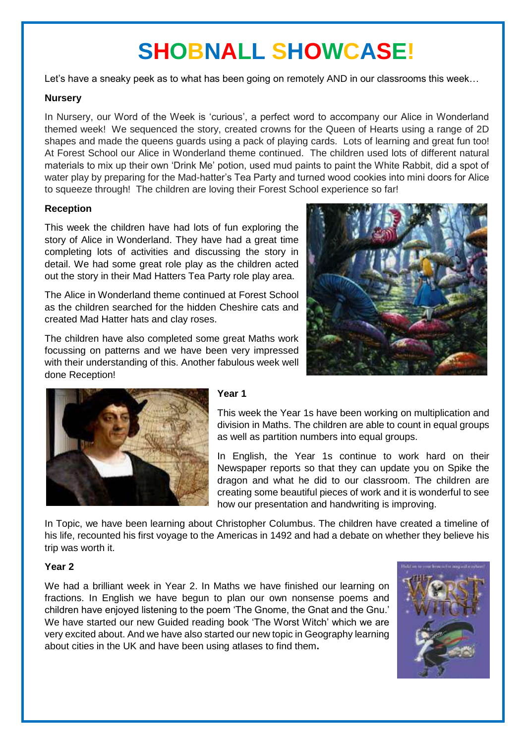# **SHOBNALL SHOWCASE!**

Let's have a sneaky peek as to what has been going on remotely AND in our classrooms this week…

#### **Nursery**

In Nursery, our Word of the Week is 'curious', a perfect word to accompany our Alice in Wonderland themed week! We sequenced the story, created crowns for the Queen of Hearts using a range of 2D shapes and made the queens guards using a pack of playing cards. Lots of learning and great fun too! At Forest School our Alice in Wonderland theme continued. The children used lots of different natural materials to mix up their own 'Drink Me' potion, used mud paints to paint the White Rabbit, did a spot of water play by preparing for the Mad-hatter's Tea Party and turned wood cookies into mini doors for Alice to squeeze through! The children are loving their Forest School experience so far!

#### **Reception**

This week the children have had lots of fun exploring the story of Alice in Wonderland. They have had a great time completing lots of activities and discussing the story in detail. We had some great role play as the children acted out the story in their Mad Hatters Tea Party role play area.

The Alice in Wonderland theme continued at Forest School as the children searched for the hidden Cheshire cats and created Mad Hatter hats and clay roses.

The children have also completed some great Maths work focussing on patterns and we have been very impressed with their understanding of this. Another fabulous week well done Reception!





### **Year 1**

This week the Year 1s have been working on multiplication and division in Maths. The children are able to count in equal groups as well as partition numbers into equal groups.

In English, the Year 1s continue to work hard on their Newspaper reports so that they can update you on Spike the dragon and what he did to our classroom. The children are creating some beautiful pieces of work and it is wonderful to see how our presentation and handwriting is improving.

In Topic, we have been learning about Christopher Columbus. The children have created a timeline of his life, recounted his first voyage to the Americas in 1492 and had a debate on whether they believe his trip was worth it.

#### **Year 2**

We had a brilliant week in Year 2. In Maths we have finished our learning on fractions. In English we have begun to plan our own nonsense poems and children have enjoyed listening to the poem 'The Gnome, the Gnat and the Gnu.' We have started our new Guided reading book 'The Worst Witch' which we are very excited about. And we have also started our new topic in Geography learning about cities in the UK and have been using atlases to find them**.**

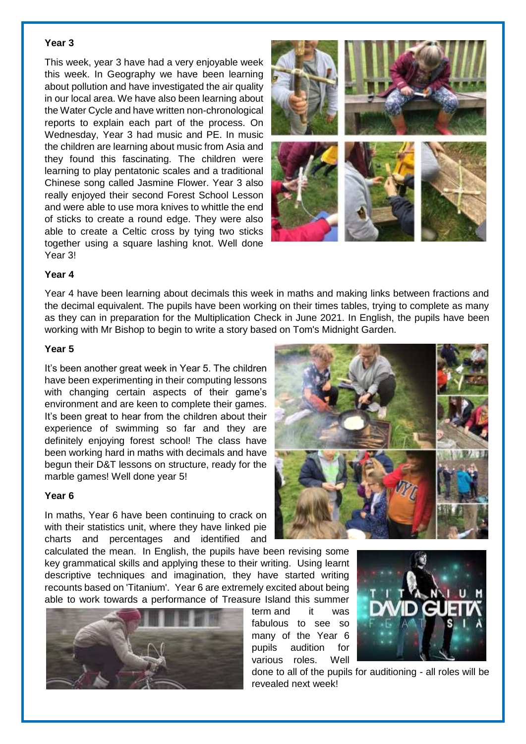#### **Year 3**

This week, year 3 have had a very enjoyable week this week. In Geography we have been learning about pollution and have investigated the air quality in our local area. We have also been learning about the Water Cycle and have written non-chronological reports to explain each part of the process. On Wednesday, Year 3 had music and PE. In music the children are learning about music from Asia and they found this fascinating. The children were learning to play pentatonic scales and a traditional Chinese song called Jasmine Flower. Year 3 also really enjoyed their second Forest School Lesson and were able to use mora knives to whittle the end of sticks to create a round edge. They were also able to create a Celtic cross by tying two sticks together using a square lashing knot. Well done Year 3!



#### **Year 4**

Year 4 have been learning about decimals this week in maths and making links between fractions and the decimal equivalent. The pupils have been working on their times tables, trying to complete as many as they can in preparation for the Multiplication Check in June 2021. In English, the pupils have been working with Mr Bishop to begin to write a story based on Tom's Midnight Garden.

#### **Year 5**

It's been another great week in Year 5. The children have been experimenting in their computing lessons with changing certain aspects of their game's environment and are keen to complete their games. It's been great to hear from the children about their experience of swimming so far and they are definitely enjoying forest school! The class have been working hard in maths with decimals and have begun their D&T lessons on structure, ready for the marble games! Well done year 5!

#### **Year 6**

In maths, Year 6 have been continuing to crack on with their statistics unit, where they have linked pie charts and percentages and identified and

calculated the mean. In English, the pupils have been revising some key grammatical skills and applying these to their writing. Using learnt descriptive techniques and imagination, they have started writing recounts based on 'Titanium'. Year 6 are extremely excited about being able to work towards a performance of Treasure Island this summer





term and it was fabulous to see so many of the Year 6 pupils audition for various roles. Well



done to all of the pupils for auditioning - all roles will be revealed next week!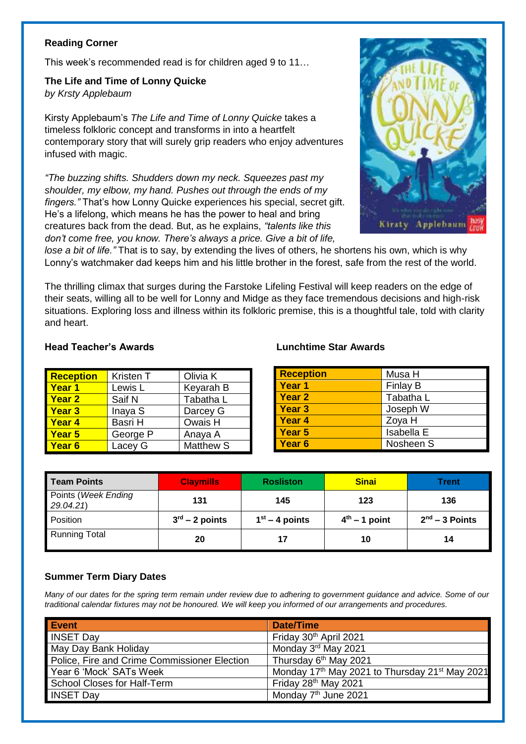#### **Reading Corner**

This week's recommended read is for children aged 9 to 11…

**The Life and Time of Lonny Quicke** *by Krsty Applebaum*

Kirsty Applebaum's *The Life and Time of Lonny Quicke* takes a timeless folkloric concept and transforms in into a heartfelt contemporary story that will surely grip readers who enjoy adventures infused with magic.

*"The buzzing shifts. Shudders down my neck. Squeezes past my shoulder, my elbow, my hand. Pushes out through the ends of my fingers."* That's how Lonny Quicke experiences his special, secret gift. He's a lifelong, which means he has the power to heal and bring creatures back from the dead. But, as he explains, *"talents like this don't come free, you know. There's always a price. Give a bit of life,*



*lose a bit of life."* That is to say, by extending the lives of others, he shortens his own, which is why Lonny's watchmaker dad keeps him and his little brother in the forest, safe from the rest of the world.

The thrilling climax that surges during the Farstoke Lifeling Festival will keep readers on the edge of their seats, willing all to be well for Lonny and Midge as they face tremendous decisions and high-risk situations. Exploring loss and illness within its folkloric premise, this is a thoughtful tale, told with clarity and heart.

#### **Head Teacher's Awards Lunchtime Star Awards**

| Reception         | Kristen T | Olivia K         | R  |
|-------------------|-----------|------------------|----|
| Year 1            | Lewis L   | Keyarah B        | Ýε |
| <b>Year 2</b>     | Saif N    | Tabatha L        | Ýε |
| Year 3            | Inaya S   | Darcey G         | Ýέ |
| Year 4            | Basri H   | Owais H          | Ýέ |
| Year 5            | George P  | Anaya A          | Ýέ |
| Year <sub>6</sub> | Lacey G   | <b>Matthew S</b> | Ýέ |

| <b>Reception</b>  | Musa H            |
|-------------------|-------------------|
| Year 1            | Finlay B          |
| Year 2            | Tabatha L         |
| Year <sub>3</sub> | Joseph W          |
| <b>Year 4</b>     | Zoya H            |
| Year 5            | <b>Isabella E</b> |
| Year 6            | Nosheen S         |

| <b>Team Points</b>              | <b>Claymills</b> | <b>Rosliston</b> | <b>Sinai</b>    | Trent            |
|---------------------------------|------------------|------------------|-----------------|------------------|
| Points (Week Ending<br>29.04.21 | 131              | 145              | 123             | 136              |
| Position                        | $3rd - 2$ points | $1st - 4$ points | $4th - 1$ point | $2nd - 3$ Points |
| <b>Running Total</b>            | 20               | 17               | 10              | 14               |

#### **Summer Term Diary Dates**

*Many of our dates for the spring term remain under review due to adhering to government guidance and advice. Some of our traditional calendar fixtures may not be honoured. We will keep you informed of our arrangements and procedures.* 

| <b>Event</b>                                 | <b>Date/Time</b>                                           |
|----------------------------------------------|------------------------------------------------------------|
| <b>INSET Day</b>                             | Friday 30th April 2021                                     |
| May Day Bank Holiday                         | Monday 3rd May 2021                                        |
| Police, Fire and Crime Commissioner Election | Thursday 6 <sup>th</sup> May 2021                          |
| Year 6 'Mock' SATs Week                      | Monday 17th May 2021 to Thursday 21 <sup>st</sup> May 2021 |
| School Closes for Half-Term                  | Friday 28 <sup>th</sup> May 2021                           |
| <b>INSET Day</b>                             | Monday 7 <sup>th</sup> June 2021                           |